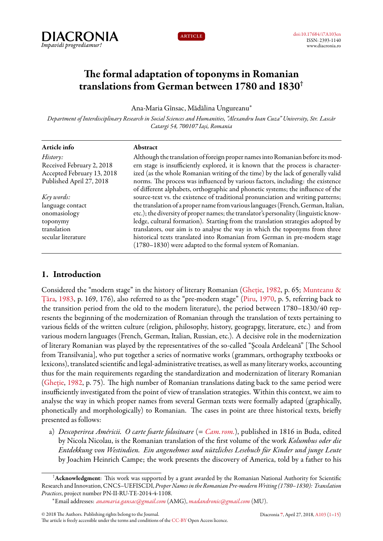



# **The formal adaptation of toponyms in Romanian translations from German between 1780 and 1830†**

Ana-Maria Gînsac, Mădălina Ungureanu*<sup>∗</sup>*

*Department of Interdisciplinary Research in Social Sciences and Humanities, "Alexandru Ioan Cuza" University, Str. Lascăr Catargi 54, 700107 Iași, Romania*

| Abstract                                                                                                                                |
|-----------------------------------------------------------------------------------------------------------------------------------------|
| Although the translation of foreign proper names into Romanian before its mod-                                                          |
| ern stage is insufficiently explored, it is known that the process is character-                                                        |
| ized (as the whole Romanian writing of the time) by the lack of generally valid                                                         |
| norms. The process was influenced by various factors, including: the existence                                                          |
| of different alphabets, orthographic and phonetic systems; the influence of the                                                         |
| source-text vs. the existence of traditional pronunciation and writing patterns;                                                        |
| the translation of a proper name from various languages (French, German, Italian,                                                       |
| etc.); the diversity of proper names; the translator's personality (linguistic know-                                                    |
| ledge, cultural formation). Starting from the translation strategies adopted by                                                         |
| translators, our aim is to analyse the way in which the toponyms from three                                                             |
| historical texts translated into Romanian from German in pre-modern stage<br>(1780–1830) were adapted to the formal system of Romanian. |
|                                                                                                                                         |

# <span id="page-0-0"></span>**1. Introduction**

Considered the "modern stage" in the history of literary Romanian([Gheție,](#page-13-1) [1982,](#page-13-1) p. 65; [Munteanu &](#page-13-2) [Țâra,](#page-13-2) [1983,](#page-13-2) p. 169, 176), also referred to as the "pre-modern stage" [\(Piru,](#page-13-3) [1970](#page-13-3), p. 5, referring back to the transition period from the old to the modern literature), the period between 1780–1830/40 represents the beginning of the modernization of Romanian through the translation of texts pertaining to various fields of the written culture (religion, philosophy, history, geograpgy, literature, etc.) and from various modern languages (French, German, Italian, Russian, etc.). A decisive role in the modernization of literary Romanian was played by the representatives of the so-called "Școala Ardeleană" [The School from Transilvania], who put together a series of normative works (grammars, orthography textbooks or lexicons), translated scientific and legal-administrative treatises, as well as many literary works, accounting thus for the main requirements regarding the standardization and modernization of literary Romanian ([Gheție](#page-13-1), [1982](#page-13-1), p. 75). The high number of Romanian translations dating back to the same period were insufficiently investigated from the point of view of translation strategies. Within this context, we aim to analyse the way in which proper names from several German texts were formally adapted (graphically, phonetically and morphologically) to Romanian. The cases in point are three historical texts, briefly presented as follows:

a) *Descoperirea Américii. O carte foarte folositoare* (= *[Cam. rom.](#page-12-0)*), published in 1816 in Buda, edited by Nicola Nicolau, is the Romanian translation of the first volume of the work *Kolumbus oder die Entdekkung von Westindien. Ein angenehmes und nützliches Lesebuch für Kinder und junge Leute* by Joachim Heinrich Campe; the work presents the discovery of America, told by a father to his

<sup>†</sup>**Acknowledgment**: This work was supported by a grant awarded by the Romanian National Authority for Scientific Research and Innovation, CNCS–UEFISCDI, *Proper Names inthe Romanian Pre-modernWriting (1780–1830): Translation Practices*, project number PN-II-RU-TE-2014-4-1108.

*<sup>∗</sup>*Email addresses: *[anamaria.gansac@gmail.com](mailto:anamaria.gansac@gmail.com)* (AMG), *[madandronic@gmail.com](mailto:madandronic@gmail.com)* (MU).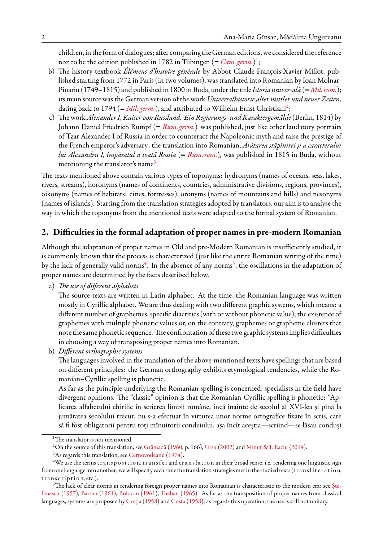children, in the form of dialogues; after comparing the German editions, we considered the reference text to be the edition published in [1](#page-1-0)782 in Tübingen (= *Cam. germ*.)<sup>1</sup>;

- b) The history textbook *Élémens d'histoire générale* by Abbot Claude-François-Xavier Millot, published starting from 1772 in Paris (in two volumes), was translated into Romanian by Ioan Molnar-Piuariu (1749–1815) and published in 1800 in Buda, under the title*Istoria universală* (=*[Mil. rom.](#page-12-2)*); its main source was the German version of the work *Universalhistorie alter mittler und neuer Zeiten*, dating back to 1794 (= *Mil. germ*.), and attributed to Wilhelm Ernst Christiani<sup>[2](#page-1-1)</sup>;
- c) The work*Alexander I, Kaiser von Russland. Ein Regierungs- und Karaktergemälde*(Berlin, 1814) by Johann Daniel Friedrich Rumpf (= *[Rum. germ.](#page-12-4)*) was published, just like other laudatory portraits of Tzar Alexander I of Russia in order to counteract the Napoleonic myth and raise the prestige of the French emperor's adversary; the translation into Romanian, *Arătarea stăpînirei și a caracterului lui Alexandru I, împăratul a toată Rossia* (= *[Rum. rom.](#page-13-4)*), was published in 1815 in Buda, without mentioning the translator's name $^3.$  $^3.$  $^3.$

The texts mentioned above contain various types of toponyms: hydronyms (names of oceans, seas, lakes, rivers, streams), horonyms (names of continents, countries, administrative divisions, regions, provinces), oikonyms (names of habitats: cities, fortresses), oronyms (names of mountains and hills) and nesonyms (names of islands). Starting from the translation strategies adopted by translators, our aim is to analyse the way in which the toponyms from the mentioned texts were adapted to the formal system of Romanian.

## **2. Difficulties in the formal adaptation of proper names in pre-modern Romanian**

Although the adaptation of proper names in Old and pre-Modern Romanian is insufficiently studied, it is commonly known that the process is characterized (just like the entire Romanian writing of the time) by the lack of generally valid norms $^4$  $^4$ . In the absence of any norms $^5$  $^5$ , the oscillations in the adaptation of proper names are determined by the facts described below.

a) *The use of different alphabets*

The source-texts are written in Latin alphabet. At the time, the Romanian language was written mostly in Cyrillic alphabet. We are thus dealing with two different graphic systems, which means: a different number of graphemes, specific diacritics (with or without phonetic value), the existence of graphemes with multiple phonetic values or, on the contrary, graphemes or grapheme clusters that note the same phonetic sequence. The confrontation of these two graphic systems implies difficulties in choosing a way of transposing proper names into Romanian.

b) *Different orthographic systems*

The languages involved in the translation of the above-mentioned texts have spellings that are based on different principles: the German orthography exhibits etymological tendencies, while the Romanian–Cyrillic spelling is phonetic.

As far as the principle underlying the Romanian spelling is concerned, specialists in the field have divergent opinions. The "classic" opinion is that the Romanian-Cyrillic spelling is phonetic: "Aplicarea alfabetului chirilic în scrierea limbii române, încă înainte de secolul al XVI-lea și pînă la jumătatea secolului trecut, nu s-a efectuat în virtutea unor norme ortografice fixate în scris, care să fi fost obligatorii pentru toți mînuitorii condeiului, așa încît aceștia—scriind—se lăsau conduși

<span id="page-1-0"></span><sup>&</sup>lt;sup>1</sup>The translator is not mentioned.

<span id="page-1-1"></span><sup>2</sup>On the source of this translation, see [Grămadă](#page-13-5) ([1960](#page-13-5), p. 166), [Ursu](#page-14-0) [\(2002\)](#page-14-0) and [Minuț & Lihaciu](#page-13-6) ([2014](#page-13-6)).

<span id="page-1-3"></span><span id="page-1-2"></span><sup>3</sup>As regards this translation, see [Cernovodeanu](#page-13-7) ([1974\)](#page-13-7).

<sup>&</sup>lt;sup>4</sup>We use the terms transposition, transfer and translation in their broad sense, i.e. rendering one linguistic sign from one language into another; we will specify each time the translation strategies met in the studied texts (transliteration, transcription, etc.).

<span id="page-1-4"></span><sup>5</sup>The lack of clear norms in rendering foreign proper names into Romanian is characteristic to the modern era; see [Ște](#page-14-1)[fănescu](#page-14-1) ([1957\)](#page-14-1), [Bârsan](#page-13-8) ([1961](#page-13-8)), [Bolocan](#page-13-9) [\(1961\)](#page-13-9), [Theban](#page-14-2) [\(1965\)](#page-14-2). As far as the transposition of proper names from classical languages, systems are proposed by [Creția](#page-13-10) [\(1958\)](#page-13-10) and [Costa](#page-13-11) ([1958\)](#page-13-11); as regards this operation, the use is still not unitary.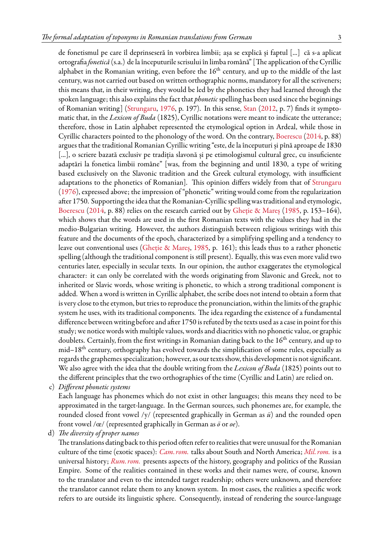de fonetismul pe care îl deprinseseră în vorbirea limbii; așa se explică și faptul [...] că s-a aplicat ortografia*fonetică* (s.a.) de la începuturile scrisului în limba română" [The application of the Cyrillic alphabet in the Romanian writing, even before the  $16<sup>th</sup>$  century, and up to the middle of the last century, was not carried out based on written orthographic norms, mandatory for all the scriveners; this means that, in their writing, they would be led by the phonetics they had learned through the spoken language; this also explains the fact that *phonetic* spelling has been used since the beginnings of Romanian writing]([Strungaru](#page-14-3), [1976,](#page-14-3) p. 197). In this sense, [Stan](#page-13-12) ([2012](#page-13-12), p. 7) finds it symptomatic that, in the *Lexicon of Buda* (1825), Cyrillic notations were meant to indicate the utterance; therefore, those in Latin alphabet represented the etymological option in Ardeal, while those in Cyrillic characters pointed to the phonology of the word. On the contrary, [Boerescu](#page-13-13) [\(2014](#page-13-13), p. 88) argues that the traditional Romanian Cyrillic writing "este, de la începuturi și pînă aproape de 1830 [...], o scriere bazată exclusiv pe tradiția slavonă și pe etimologismul cultural grec, cu insuficiente adaptări la fonetica limbii române" [was, from the beginning and until 1830, a type of writing based exclusively on the Slavonic tradition and the Greek cultural etymology, with insufficient adaptations to the phonetics of Romanian]. This opinion differs widely from that of [Strungaru](#page-14-3) ([1976](#page-14-3)), expressed above; the impression of "phonetic" writing would come from the regularization after 1750. Supporting the idea that the Romanian-Cyrillic spelling was traditional and etymologic, [Boerescu](#page-13-13) ([2014,](#page-13-13) p. 88) relies on the research carried out by [Gheție & Mareș](#page-13-14) ([1985,](#page-13-14) p. 153–164), which shows that the words are used in the first Romanian texts with the values they had in the medio-Bulgarian writing. However, the authors distinguish between religious writings with this feature and the documents of the epoch, characterized by a simplifying spelling and a tendency to leave out conventional uses [\(Gheție & Mareș](#page-13-14), [1985](#page-13-14), p. 161); this leads thus to a rather phonetic spelling (although the traditional component is still present). Equally, this was even more valid two centuries later, especially in secular texts. In our opinion, the author exaggerates the etymological character: it can only be correlated with the words originating from Slavonic and Greek, not to inherited or Slavic words, whose writing is phonetic, to which a strong traditional component is added. When a word is written in Cyrillic alphabet, the scribe does not intend to obtain a form that is very close to the etymon, but tries to reproduce the pronunciation, within the limits of the graphic system he uses, with its traditional components. The idea regarding the existence of a fundamental difference between writing before and after 1750 is refuted by the texts used as a case in point for this study; we notice words with multiple values, words and diacritics with no phonetic value, or graphic doublets. Certainly, from the first writings in Romanian dating back to the  $16<sup>th</sup>$  century, and up to  $mid-18<sup>th</sup>$  century, orthography has evolved towards the simplification of some rules, especially as regards the graphemes specialization; however, as our texts show, this development is not significant. We also agree with the idea that the double writing from the *Lexicon of Buda* (1825) points out to the different principles that the two orthographies of the time (Cyrillic and Latin) are relied on.

c) *Different phonetic systems*

Each language has phonemes which do not exist in other languages; this means they need to be approximated in the target-language. In the German sources, such phonemes are, for example, the rounded closed front vowel /y/ (represented graphically in German as *ü*) and the rounded open front vowel /œ/ (represented graphically in German as *ö* or *oe*).

d) *The diversity of proper names*

The translations dating back to this period often refer to realities that were unusual for the Romanian culture of the time (exotic spaces): *[Cam. rom.](#page-12-0)* talks about South and North America; *[Mil. rom.](#page-12-2)* is a universal history; *[Rum. rom.](#page-13-4)* presents aspects of the history, geography and politics of the Russian Empire. Some of the realities contained in these works and their names were, of course, known to the translator and even to the intended target readership; others were unknown, and therefore the translator cannot relate them to any known system. In most cases, the realities a specific work refers to are outside its linguistic sphere. Consequently, instead of rendering the source-language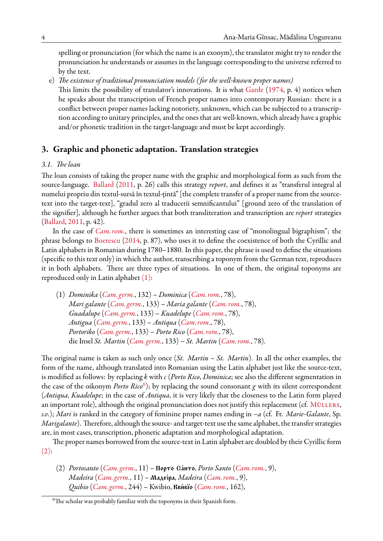spelling or pronunciation (for which the name is an exonym), the translator might try to render the pronunciation he understands or assumes in the language corresponding to the universe referred to by the text.

e) *The existence of traditional pronunciation models ( for the well-known proper names)* This limits the possibility of translator's innovations. It is what [Garde](#page-13-15) [\(1974](#page-13-15), p. 4) notices when he speaks about the transcription of French proper names into contemporary Russian: there is a

conflict between proper names lacking notoriety, unknown, which can be subjected to a transcription according to unitary principles, and the ones that are well-known, which already have a graphic and/or phonetic tradition in the target-language and must be kept accordingly.

# **3. Graphic and phonetic adaptation. Translation strategies**

### <span id="page-3-3"></span>*3.1. The loan*

The loan consists of taking the proper name with the graphic and morphological form as such from the source-language. [Ballard](#page-13-16) [\(2011,](#page-13-16) p. 26) calls this strategy *report*, and defines it as "transferul integral al numelui propriu din textul-sursă în textul-țintă" [the complete transfer of a proper name from the sourcetext into the target-text], "gradul zero al traducerii semnificantului" [ground zero of the translation of the signifier], although he further argues that both transliteration and transcription are *report* strategies ([Ballard,](#page-13-16) [2011](#page-13-16), p. 42).

In the case of *[Cam. rom.](#page-12-0)*, there is sometimes an interesting case of "monolingual bigraphism"; the phrase belongs to [Boerescu](#page-13-13) [\(2014](#page-13-13), p. 87), who uses it to define the coexistence of both the Cyrillic and Latin alphabets in Romanian during 1780–1880. In this paper, the phrase is used to define the situations (specific to this text only) in which the author, transcribing a toponym from the German text, reproduces it in both alphabets. There are three types of situations. In one of them, the original toponyms are reproduced only in Latin alphabet [\(1\)](#page-3-0):

<span id="page-3-0"></span>(1) *Dominika* (*[Cam. germ.](#page-12-1)*, 132) – *Dominica* (*[Cam. rom.](#page-12-0)*, 78), *Mari galante* (*[Cam. germ.](#page-12-1)*, 133) – *Maria galante* (*[Cam. rom.](#page-12-0)*, 78), *Guadalupe* (*[Cam. germ.](#page-12-1)*, 133) – *Kuadelupe* (*[Cam. rom.](#page-12-0)*, 78), *Antigua* (*[Cam. germ.](#page-12-1)*, 133) – *Antiqua* (*[Cam. rom.](#page-12-0)*, 78), *Portoriko* (*[Cam. germ.](#page-12-1)*, 133) – *Porto Rico* (*[Cam. rom.](#page-12-0)*, 78), die Insel *St. Martin* (*[Cam. germ.](#page-12-1)*, 133) – *St. Martin* (*[Cam. rom.](#page-12-0)*, 78).

The original name is taken as such only once (*St. Martin – St. Martin*). In all the other examples, the form of the name, although translated into Romanian using the Latin alphabet just like the source-text, is modified as follows: by replacing *k* with *c* (*Porto Rico*, *Dominica*; see also the different segmentation in the case of the oikonym *Porto Rico*<sup>[6](#page-3-1)</sup>); by replacing the sound consonant *g* with its silent correspondent (*Antiqua*, *Kuadelupe*; in the case of *Antiqua*, it is very likely that the closeness to the Latin form played an important role), although the original pronunciation does not justify this replacement (cf. MÜLLERS, *s.v.*); *Mari* is ranked in the category of feminine proper names ending in *–a* (cf. Fr. *Marie-Galante*, Sp. *Marigalante*). Therefore, although the source- and target-text use the same alphabet, the transfer strategies are, in most cases, transcription, phonetic adaptation and morphological adaptation.

The proper names borrowed from the source-text in Latin alphabet are doubled by their Cyrillic form  $(2)$ :

<span id="page-3-2"></span>(2) *Portosanto* (*[Cam. germ.](#page-12-1)*, 11) – Porto Sánto, *Porto Santo* (*[Cam. rom.](#page-12-0)*, 9), *Madeira* (*[Cam. germ.](#page-12-1)*, 11) – **Маде́іра**, *Madeira* (*[Cam. rom.](#page-12-0)*, 9), *Quibio* (*[Cam. germ.](#page-12-1)*, 244) – Kwibio, **Кви́віо** (*[Cam. rom.](#page-12-0)*, 162),

<span id="page-3-1"></span><sup>&</sup>lt;sup>6</sup>The scholar was probably familiar with the toponyms in their Spanish form.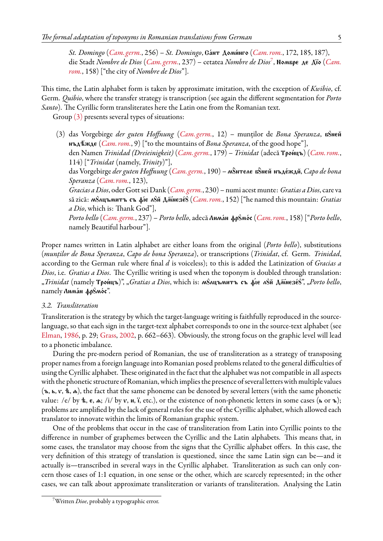*St. Domingo* (*[Cam. germ.](#page-12-1)*, 256) – *St. Domingo*, Gа́нт Доми́нго (*[Cam. rom.](#page-12-0)*, 172, 185, 187), die Stadt *Nombre de Dios ([Cam. germ.](#page-12-1)*, 23[7](#page-4-0)) – cetatea *Nombre de Dios<sup>7</sup>, N*oмвре де Дїо (*[Cam.](#page-12-0) [rom.](#page-12-0)*, 158) ["the city of *Nombre de Dios*"].

This time, the Latin alphabet form is taken by approximate imitation, with the exception of *Kwibio*, cf. Germ. *Quibio*, where the transfer strategy is transcription (see again the different segmentation for *Porto Santo*). The Cyrillic form transliterates here the Latin one from the Romanian text.

Group [\(3\)](#page-4-1) presents several types of situations:

<span id="page-4-1"></span>(3) das Vorgebirge *der guten Hoffnung* (*[Cam. germ.](#page-12-1)*, 12) – munților de Bona Speranza, n8neu nßd™'Ωde (*[Cam. rom.](#page-12-0)*, 9) ["to the mountains of *Bona Speranza*, of the good hope"], den Namen *Trinidad (Dreieinigkeit) ([Cam. germ.](#page-12-1)*, 179) – *Trinidat* (adecă **Тро́ицъ**) (*[Cam. rom.](#page-12-0)*, 114) ["*Trinidat* (namely, *Trinity*)"], das Vorgebirge *der guten Hoffnung* (*[Cam. germ.](#page-12-1)*, 190) – м8̂нтеле в8̂ней нъде́ждй, *Capo de bona Speranza* (*[Cam. rom.](#page-12-0)*, 123), *Gracias a Dios*, oder Gott sei Dank (*[Cam. germ.](#page-12-1)*, 230) – numi acest munte: *Gratias a Dios*, care va să zică: м8лцъмитъ съ фіє л8й Дмиезе́8 (*[Cam. rom.](#page-12-0)*, 152) ["he named this mountain: *Gratias a Dio*, which is: Thank God"], *Porto bello ([Cam. germ.](#page-12-1), 237) – Porto bello, adecă Λιικά*ιι φρ8ικός (*[Cam. rom.](#page-12-0), 158*) ["*Porto bello,* namely Beautiful harbour"].

Proper names written in Latin alphabet are either loans from the original (*Porto bello*), substitutions (*munților de Bona Speranza*, *Capo de bona Speranza*), or transcriptions (*Trinidat*, cf. Germ. *Trinidad*, according to the German rule where final *d* is voiceless); to this is added the Latinization of *Gracias a Dios*, i.e. *Gratias a Dios*. The Cyrillic writing is used when the toponym is doubled through translation: , Trinidat (namely Трои́цъ)", "*Gratias a Dios*, which is: м8лцъмитъ съ фіє л8й Дмиезе́8", "Porto bello, namely *Лима́н* фр8мо́с".

#### *3.2. Transliteration*

Transliteration is the strategy by which the target-language writing is faithfully reproduced in the sourcelanguage, so that each sign in the target-text alphabet corresponds to one in the source-text alphabet (see [Elman,](#page-13-18) [1986](#page-13-18), p. 29; [Grass,](#page-13-19) [2002](#page-13-19), p. 662–663). Obviously, the strong focus on the graphic level will lead to a phonetic imbalance.

During the pre-modern period of Romanian, the use of transliteration as a strategy of transposing proper names from a foreign language into Romanian posed problems related to the general difficulties of using the Cyrillic alphabet. These originated in the fact that the alphabet was not compatible in all aspects with the phonetic structure of Romanian, which implies the presence of several letters with multiple values  $(n, k, v, k, \alpha)$ , the fact that the same phoneme can be denoted by several letters (with the same phonetic value: /e/ by  $\mathbf{t}$ ,  $\mathbf{e}$ ,  $\mathbf{a}$ ; /i/ by  $\mathbf{v}$ ,  $\mathbf{u}$ , i, etc.), or the existence of non-phonetic letters in some cases ( $\mathbf{b}$  or  $\mathbf{b}$ ); problems are amplified by the lack of general rules for the use of the Cyrillic alphabet, which allowed each translator to innovate within the limits of Romanian graphic system.

One of the problems that occur in the case of transliteration from Latin into Cyrillic points to the difference in number of graphemes between the Cyrillic and the Latin alphabets. This means that, in some cases, the translator may choose from the signs that the Cyrillic alphabet offers. In this case, the very definition of this strategy of translation is questioned, since the same Latin sign can be—and it actually is—transcribed in several ways in the Cyrillic alphabet. Transliteration as such can only concern those cases of 1:1 equation, in one sense or the other, which are scarcely represented; in the other cases, we can talk about approximate transliteration or variants of transliteration. Analysing the Latin

<span id="page-4-0"></span><sup>7</sup>Written *Dioe*, probably a typographic error.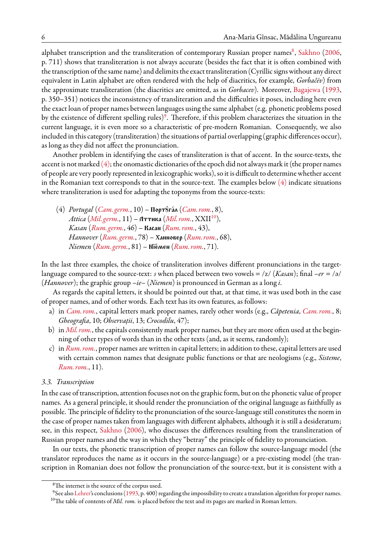alphabet transcription and the transliteration of contemporary Russian proper names $^8$  $^8$ , [Sakhno](#page-13-20) [\(2006](#page-13-20), p. 711) shows that transliteration is not always accurate (besides the fact that it is often combined with the transcription of the same name) and delimits the exact transliteration (Cyrillic signs without any direct equivalent in Latin alphabet are often rendered with the help of diacritics, for example, *Gorbačёv*) from the approximate transliteration (the diacritics are omitted, as in *Gorbacev*). Moreover, [Bagajewa](#page-13-21) [\(1993](#page-13-21), p. 350–351) notices the inconsistency of transliteration and the difficulties it poses, including here even the exact loan of proper names between languages using the same alphabet (e.g. phonetic problems posed by the existence of different spelling rules) $9$ . Therefore, if this problem characterizes the situation in the current language, it is even more so a characteristic of pre-modern Romanian. Consequently, we also included in this category (transliteration) the situations of partial overlapping (graphic differences occur), as long as they did not affect the pronunciation.

Another problem in identifying the cases of transliteration is that of accent. In the source-texts, the accent is not marked  $(4)$ ; the onomastic dictionaries of the epoch did not always mark it (the proper names of people are very poorly represented in lexicographic works), so it is difficult to determine whether accent in the Romanian text corresponds to that in the source-text. The examples below  $(4)$  indicate situations where transliteration is used for adapting the toponyms from the source-texts:

<span id="page-5-2"></span>(4) *Portugal* (*[Cam. germ.](#page-12-1)*, 10) – Πορτ $\frac{\partial \text{F(x)}}{\partial \text{A(x)}}$  (*[Cam. rom.](#page-12-0)*, 8), *Attica* (*[Mil. germ.](#page-12-3)*,  $11$ ) – Аттика (*[Mil. rom.](#page-12-2)*, XXII<sup>[10](#page-5-3)</sup>), *Kasan* (*[Rum. germ.](#page-12-4)*, 46) – **Касан** (*[Rum. rom.](#page-13-4)*, 43), *Hannover ([Rum. germ.](#page-12-4)*, 78) – Ханновер (*[Rum. rom.](#page-13-4)*, 68), *Niemen* (*[Rum. germ.](#page-12-4)*, 81) – Nïémen (*[Rum. rom.](#page-13-4)*, 71).

In the last three examples, the choice of transliteration involves different pronunciations in the targetlanguage compared to the source-text: *s* when placed between two vowels = /z/ (*Kasan*); final *–er* = /ə/ (*Hannover*); the graphic group *–ie–* (*Niemen*) is pronounced in German as a long *i*.

As regards the capital letters, it should be pointed out that, at that time, it was used both in the case of proper names, and of other words. Each text has its own features, as follows:

- a) in *[Cam. rom.](#page-12-0)*, capital letters mark proper names, rarely other words (e.g., *Căpetenia*, *[Cam. rom.](#page-12-0)*, 8; *Gheografia*, 10; *Observații*, 13; *Crocodilu*, 47);
- b) in *[Mil. rom.](#page-12-2)*, the capitals consistently mark proper names, but they are more often used at the beginning of other types of words than in the other texts (and, as it seems, randomly);
- c) in *[Rum. rom.](#page-13-4)*, proper names are written in capital letters; in addition to these, capital letters are used with certain common names that designate public functions or that are neologisms (e.g., *Sisteme*, *[Rum. rom.](#page-13-4)*, 11).

### *3.3. Transcription*

In the case of transcription, attention focuses not on the graphic form, but on the phonetic value of proper names. As a general principle, it should render the pronunciation of the original language as faithfully as possible. The principle of fidelity to the pronunciation of the source-language still constitutes the norm in the case of proper names taken from languages with different alphabets, although it is still a desideratum; see, in this respect, [Sakhno](#page-13-20) [\(2006](#page-13-20)), who discusses the differences resulting from the transliteration of Russian proper names and the way in which they "betray" the principle of fidelity to pronunciation.

In our texts, the phonetic transcription of proper names can follow the source-language model (the translator reproduces the name as it occurs in the source-language) or a pre-existing model (the transcription in Romanian does not follow the pronunciation of the source-text, but it is consistent with a

<span id="page-5-1"></span><span id="page-5-0"></span><sup>8</sup>The internet is the source of the corpus used.

<span id="page-5-3"></span> $^9$ See also [Lehrer'](#page-13-22)s conclusions [\(1993,](#page-13-22) p. 400) regarding the impossibility to create a translation algorithm for proper names. <sup>10</sup>The table of contents of *Mil. rom*. is placed before the text and its pages are marked in Roman letters.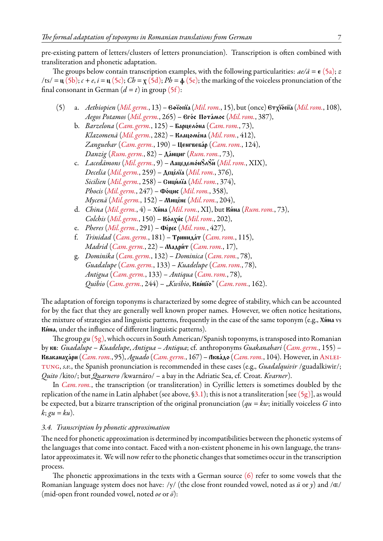pre-existing pattern of letters/clusters of letters pronunciation). Transcription is often combined with transliteration and phonetic adaptation.

The groups below contain transcription examples, with the following particularities:  $ae/\ddot{a} = \epsilon (5a)$  $ae/\ddot{a} = \epsilon (5a)$ ; *z* /ts/ =  $\mu$  [\(5b\)](#page-6-0);  $c + e$ ,  $i = \mu$  [\(5c\)](#page-6-0);  $Cb = x$  [\(5d\);](#page-6-0)  $Ph = \phi$  [\(5e\);](#page-6-0) the marking of the voiceless pronunciation of the final consonant in German  $(d = t)$  in group  $(5f)$ :

- <span id="page-6-0"></span>(5) a. *Aethiopien* (*[Mil. germ.](#page-12-3)*, 13) – Eƒïopïa(*[Mil. rom.](#page-12-2)*, 15), but (once) Etxïópïa(*[Mil. rom.](#page-12-2)*, 108), *Aegos Potamos* (*[Mil. germ.](#page-12-3)*, 265) – Egós Potámos (*[Mil. rom.](#page-12-2)*, 387),
	- b. *Barzelona* (*[Cam. germ.](#page-12-1)*, 125) Барцело́на (*[Cam. rom.](#page-12-0)*, 73), *Klazomenä* (*[Mil. germ.](#page-12-3)*, 282) – Клацоме́на (*[Mil. rom.](#page-12-2)*, 412), *Zanguebar* (*[Cam. germ.](#page-12-1)*, 190) – Ценгвебар (*[Cam. rom.](#page-12-0)*, 124), *Danzig* (*[Rum. germ.](#page-12-4)*, 82) – Да́нциг (*[Rum. rom.](#page-13-4)*, 73),
	- c. *Lacedämons* ([Mil. germ.](#page-12-3), 9) Лацедемо́н8л8й ([Mil. rom.](#page-12-2), XIX), *Decelia* (*[Mil. germ.](#page-12-3)*, 259) – Деце́ліа (*[Mil. rom.](#page-12-2)*, 376), *Sicilien* (*[Mil. germ.](#page-12-3)*, 258) – **Сици́ліа** (*[Mil. rom.](#page-12-2)*, 374), *Phocis ([Mil. germ.](#page-12-3), 247) – Фо́цис ([Mil. rom.](#page-12-2), 358), Mycenä* (*[Mil. germ.](#page-12-3)*, 152) – **Мице́не** (*[Mil. rom.](#page-12-2)*, 204),
	- d. *China* (*[Mil. germ.](#page-12-3)*, 4) Xína (*[Mil. rom.](#page-12-2)*, XI), but Kína (*[Rum. rom.](#page-13-4)*, 73), *Colchis* (*[Mil. germ.](#page-12-3)*, 150) – **Κό**λχ**ής** (*[Mil. rom.](#page-12-2)*, 202),
	- e. *Pheres* (*[Mil. germ.](#page-12-3)*, 291) **Φέρες** (*[Mil. rom.](#page-12-2)*, 427),
	- f. *Trinidad* (*[Cam. germ.](#page-12-1)*, 181) Trinidát (*[Cam. rom.](#page-12-0)*, 115), *Madrid* (*[Cam. germ.](#page-12-1)*, 22) – Мадри́т (*[Cam. rom.](#page-12-0)*, 17),
	- g. *Dominika* (*[Cam. germ.](#page-12-1)*, 132) *Dominica* (*[Cam. rom.](#page-12-0)*, 78), *Guadalupe* (*[Cam. germ.](#page-12-1)*, 133) – *Kuadelupe* (*[Cam. rom.](#page-12-0)*, 78), *Antigua* (*[Cam. germ.](#page-12-1)*, 133) – *Antiqua* (*[Cam. rom.](#page-12-0)*, 78), *Quibio* (*[Cam. germ.](#page-12-1)*, 244) – "*Kwibio*, Kvíbïo" (*[Cam. rom.](#page-12-0)*, 162).

The adaptation of foreign toponyms is characterized by some degree of stability, which can be accounted for by the fact that they are generally well known proper names. However, we often notice hesitations, the mixture of strategies and linguistic patterns, frequently in the case of the same toponym (e.g., Xína vs Kína, under the influence of different linguistic patterns).

The group *gu* [\(5g\)](#page-6-0), which occurs in South American/Spanish toponyms, is transposed into Romanian by kv: *Guadalupe* – *Kuadelupe*, *Antigua* – *Antiqua*; cf. anthroponyms *Guakanahari* (*[Cam. germ.](#page-12-1)*, 155) – Kvakanaxári (*[Cam. rom.](#page-12-0)*, 95), *Aguado* (*[Cam. germ.](#page-12-1)*, 167) – Akvádo (*[Cam. rom.](#page-12-0)*, 104). However, in[Anlei](#page-13-23)[tung,](#page-13-23) *s.v.*, the Spanish pronunciation is recommended in these cases (e.g., *Guadalquivir* /guadalkiwir/; *Quito* /kito/; but *Quarnero* /kwarnáro/ – a bay in the Adriatic Sea, cf. Croat. *Kvarner*).

In *[Cam. rom.](#page-12-0)*, the transcription (or transliteration) in Cyrillic letters is sometimes doubled by the replication of the name in Latin alphabet (see above, [§3.1\)](#page-3-3); this is not a transliteration [see [\(5g\)](#page-6-0)], as would be expected, but a bizarre transcription of the original pronunciation (*qu = kw*; initially voiceless *G* into *k*; *gu = ku*).

### *3.4. Transcription by phonetic approximation*

The need for phonetic approximation is determined by incompatibilities between the phonetic systems of the languages that come into contact. Faced with a non-existent phoneme in his own language, the translator approximates it. We will now refer to the phonetic changes that sometimes occur in the transcription process.

The phonetic approximations in the texts with a German source  $(6)$  refer to some vowels that the Romanian language system does not have: /y/ (the close front rounded vowel, noted as *ü* or *y*) and /ɶ/ (mid-open front rounded vowel, noted *oe* or *ö*):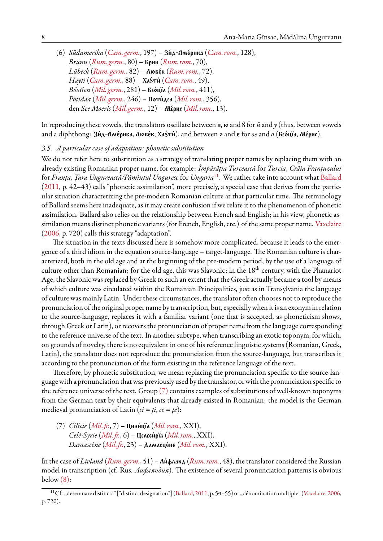<span id="page-7-0"></span>(6) *Südamerika* (*[Cam. germ.](#page-12-1)*, 197) – Zíd-Amérika (*[Cam. rom.](#page-12-0)*, 128), *Brünn* (*[Rum. germ.](#page-12-4)*, 80) – **Брин** (*[Rum. rom.](#page-13-4)*, 70), *Lübeck* (*[Rum. germ.](#page-12-4)*, 82) – **Любе́к** (*[Rum. rom.](#page-13-4)*, 72), *Hayti* (*[Cam. germ.](#page-12-1)*, 88) – Ха8ти́ (*[Cam. rom.](#page-12-0)*, 49), *Böotien* (*[Mil. germ.](#page-12-3)*, 281) – Bêócïa (*[Mil. rom.](#page-12-2)*, 411), *Pötidäa* ([Mil. germ.](#page-12-3), 246) – Поти́дєа ([Mil. rom.](#page-12-2), 356), den *See Moeris* (*[Mil. germ.](#page-12-3)*, 12) – **Mépuc** (*[Mil. rom.](#page-12-2)*, 13).

In reproducing these vowels, the translators oscillate between  $u$ ,  $w$  and  $\theta$  for  $\ddot{u}$  and  $y$  (thus, between vowels and a diphthong: Зи́д-Аме́рика, Любе́к, Ха<sup>g</sup>ти́), and between **o** and **e** for *oe* and  $\ddot{o}$  (Бео́ціа, Ме́рис).

#### *3.5. A particular case of adaptation: phonetic substitution*

We do not refer here to substitution as a strategy of translating proper names by replacing them with an already existing Romanian proper name, for example: *Împărăția Turcească* for *Turcia*, *Crăia Franțuzului* for *Franța*, *Țara Ungurească/Pămîntul Unguresc* for *Ungaria*[11](#page-7-1). We rather take into account what [Ballard](#page-13-16) ([2011,](#page-13-16) p. 42–43) calls "phonetic assimilation", more precisely, a special case that derives from the particular situation characterizing the pre-modern Romanian culture at that particular time. The terminology of Ballard seems here inadequate, as it may create confusion if we relate it to the phenomenon of phonetic assimilation. Ballard also relies on the relationship between French and English; in his view, phonetic assimilation means distinct phonetic variants (for French, English, etc.) of the same proper name. [Vaxelaire](#page-14-4) ([2006,](#page-14-4) p. 720) calls this strategy "adaptation".

The situation in the texts discussed here is somehow more complicated, because it leads to the emergence of a third idiom in the equation source-language – target-language. The Romanian culture is characterized, both in the old age and at the beginning of the pre-modern period, by the use of a language of culture other than Romanian; for the old age, this was Slavonic; in the 18<sup>th</sup> century, with the Phanariot Age, the Slavonic was replaced by Greek to such an extent that the Greek actually became a tool by means of which culture was circulated within the Romanian Principalities, just as in Transylvania the language of culture was mainly Latin. Under these circumstances, the translator often chooses not to reproduce the pronunciation of the original proper name by transcription, but, especially when it is an exonym in relation to the source-language, replaces it with a familiar variant (one that is accepted, as phoneticism shows, through Greek or Latin), or recovers the pronunciation of proper name from the language corresponding to the reference universe of the text. In another subtype, when transcribing an exotic toponym, for which, on grounds of novelty, there is no equivalent in one of his reference linguistic systems (Romanian, Greek, Latin), the translator does not reproduce the pronunciation from the source-language, but transcribes it according to the pronunciation of the form existing in the reference language of the text.

Therefore, by phonetic substitution, we mean replacing the pronunciation specific to the source-language with a pronunciation that was previously used by the translator, or with the pronunciation specific to the reference universe of the text. Group  $(7)$  contains examples of substitutions of well-known toponyms from the German text by their equivalents that already existed in Romanian; the model is the German medieval pronunciation of Latin ( $ci = ti$ ,  $ce = te$ ):

<span id="page-7-2"></span>(7) *Cilicie* (*Mil. fr.*, 7) – Цили́ціа (*[Mil. rom.](#page-12-2)*, XXI), *Celé-Syrie* (*Mil. fr.*, 6) – Целеси́ріа (*[Mil. rom.](#page-12-2)*, XXI), *Damascène* (*[Mil.fr.](#page-12-5)*, 23) – Damascéne (*[Mil. rom.](#page-12-2)*, XXI).

In the case of *Livland* (*[Rum. germ.](#page-12-4)*, 51) – Ли́фланд (*[Rum. rom.](#page-13-4)*, 48), the translator considered the Russian model in transcription (cf. Rus. *Лифляндия*). The existence of several pronunciation patterns is obvious below [\(8\):](#page-8-0)

<span id="page-7-1"></span><sup>&</sup>lt;sup>11</sup>Cf."desemnare distinctă" ["distinct designation"] ([Ballard,](#page-13-16) [2011,](#page-13-16) p. 54-55) or "dénomination multiple" [\(Vaxelaire,](#page-14-4) [2006,](#page-14-4) p. 720).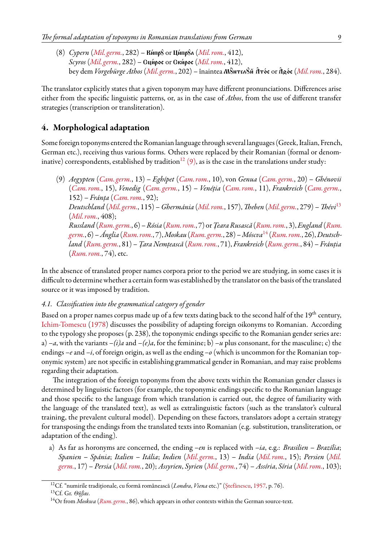<span id="page-8-0"></span>(8) *Cypern* (*[Mil. germ.](#page-12-3)*, 282) – **Κύπρ**δ οτ **Цύπρ**δο (*[Mil. rom.](#page-12-2)*, 412), *Scyros* (*[Mil. germ.](#page-12-3)*, 282) – **Сци́рос** ог Ски́рос (*[Mil. rom.](#page-12-2)*, 412), bey dem *Vorgebürge Athos* (*[Mil. germ.](#page-12-3)*, 202) – înaintea Monten du Âtos or Âgos ([Mil. rom.](#page-12-2), 284).

The translator explicitly states that a given toponym may have different pronunciations. Differences arise either from the specific linguistic patterns, or, as in the case of *Athos*, from the use of different transfer strategies (transcription or transliteration).

# **4. Morphological adaptation**

Some foreign toponyms entered the Romanian language through several languages (Greek, Italian, French, German etc.), receiving thus various forms. Others were replaced by their Romanian (formal or denom-inative) correspondents, established by tradition<sup>[12](#page-8-1)</sup> [\(9\),](#page-8-2) as is the case in the translations under study:

<span id="page-8-2"></span>(9) *Aegypten* (*[Cam. germ.](#page-12-1)*, 13) – *Eghípet* (*[Cam. rom.](#page-12-0)*, 10), von *Genua* (*[Cam. germ.](#page-12-1)*, 20) – *Ghénovii* (*[Cam. rom.](#page-12-0)*, 15), *Venedig* (*[Cam. germ.](#page-12-1)*, 15) – *Venéția* (*[Cam. rom.](#page-12-0)*, 11), *Frankreich* (*[Cam. germ.](#page-12-1)*, 152) – *Fránța* (*[Cam. rom.](#page-12-0)*, 92); *Deutschland* (*[Mil. germ.](#page-12-3)*, 115) –*Ghermánia* (*[Mil. rom.](#page-12-2)*, 157), *Theben* (*[Mil. germ.](#page-12-3)*, 279) – *Thévi*[13](#page-8-3) (*[Mil. rom.](#page-12-2)*, 408); *Russland* (*[Rum. germ.](#page-12-4)*, 6) –*Rósia* (*[Rum. rom.](#page-13-4)*, 7) or*Țeara Rusască* (*[Rum. rom.](#page-13-4)*, 3),*England* (*[Rum.](#page-12-4) [germ.](#page-12-4)*, 6) –*Ánglia* (*[Rum. rom.](#page-13-4)*, 7),*Moskau* (*[Rum. germ.](#page-12-4)*, 28) –*Móscva*[14](#page-8-4) (*[Rum. rom.](#page-13-4)*, 26), *Deutschland* (*[Rum. germ.](#page-12-4)*, 81) – *Țara Nemțească* (*[Rum. rom.](#page-13-4)*, 71), *Frankreich* (*[Rum. germ.](#page-12-4)*, 84) – *Fránția* (*[Rum. rom.](#page-13-4)*, 74), etc.

In the absence of translated proper names corpora prior to the period we are studying, in some cases it is difficult to determine whether a certain form was established by the translator on the basis of the translated source or it was imposed by tradition.

### *4.1. Classification into the grammatical category of gender*

Based on a proper names corpus made up of a few texts dating back to the second half of the 19<sup>th</sup> century, [Ichim-Tomescu](#page-13-24) [\(1978](#page-13-24)) discusses the possibility of adapting foreign oikonyms to Romanian. According to the typology she proposes (p. 238), the toponymic endings specific to the Romanian gender series are: a)  $-a$ , with the variants  $-(i)a$  and  $-(e)a$ , for the feminine; b)  $-u$  plus consonant, for the masculine; c) the endings *–e*and *–i*, of foreign origin, as well as the ending *–o* (which is uncommon for the Romanian toponymic system) are not specific in establishing grammatical gender in Romanian, and may raise problems regarding their adaptation.

The integration of the foreign toponyms from the above texts within the Romanian gender classes is determined by linguistic factors (for example, the toponymic endings specific to the Romanian language and those specific to the language from which translation is carried out, the degree of familiarity with the language of the translated text), as well as extralinguistic factors (such as the translator's cultural training, the prevalent cultural model). Depending on these factors, translators adopt a certain strategy for transposing the endings from the translated texts into Romanian (e.g. substitution, transliteration, or adaptation of the ending).

a) As far as horonyms are concerned, the ending *–en* is replaced with *–ia*, e.g.: *Brasilien* – *Brazília*; *Spanien* – *Spánia*; *Italien* – *Itália*; *Indien* (*[Mil. germ.](#page-12-3)*, 13) – *India* (*[Mil. rom.](#page-12-2)*, 15); *Persien* (*[Mil.](#page-12-3) [germ.](#page-12-3)*, 17) – *Persia* (*[Mil. rom.](#page-12-2)*, 20); *Assyrien*, *Syrien* (*[Mil. germ.](#page-12-3)*, 74) – *Assíria*, *Síria* (*[Mil. rom.](#page-12-2)*, 103);

<span id="page-8-1"></span><sup>12</sup>Cf. "numirile tradiționale, cu formă românească (*Londra*, *Viena* etc.)" [\(Ștefănescu,](#page-14-1) [1957](#page-14-1), p. 76).

<span id="page-8-3"></span><sup>13</sup>Cf. Gr. *Θῆβαι*.

<span id="page-8-4"></span><sup>14</sup>Or from *Moskwa* (*[Rum. germ.](#page-12-4)*, 86), which appears in other contexts within the German source-text.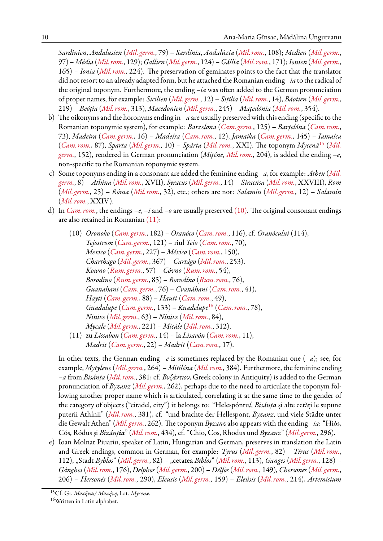*Sardinien*, *Andalusien* (*[Mil. germ.](#page-12-3)*, 79) – *Sardínia*, *Andalúzia* (*[Mil. rom.](#page-12-2)*, 108); *Medien* (*[Mil. germ.](#page-12-3)*, 97) – *Média* (*[Mil. rom.](#page-12-2)*, 129);*Gallien* (*[Mil. germ.](#page-12-3)*, 124) –*Gállia* (*[Mil. rom.](#page-12-2)*, 171); *Ionien* (*[Mil. germ.](#page-12-3)*, 165) – *Ionia* (*[Mil. rom.](#page-12-2)*, 224). The preservation of geminates points to the fact that the translator did not resort to an already adapted form, but he attached the Romanian ending *–ia* to the radical of the original toponym. Furthermore, the ending *–ia* was often added to the German pronunciation of proper names, for example: *Sicilien* (*[Mil. germ.](#page-12-3)*, 12) – *Sițília* (*[Mil. rom.](#page-12-2)*, 14), *Bäotien* (*[Mil. germ.](#page-12-3)*, 219) – *Beóția* (*[Mil. rom.](#page-12-2)*, 313), *Macedonien* (*[Mil. germ.](#page-12-3)*, 245) – *Mațedónia* (*[Mil. rom.](#page-12-2)*, 354).

- b) The oikonyms and the horonyms ending in *–a* are usually preserved with this ending (specific to the Romanian toponymic system), for example: *Barzelona* (*[Cam. germ.](#page-12-1)*, 125) – *Barțelóna* (*[Cam. rom.](#page-12-0)*, 73), *Madeira* (*[Cam. germ.](#page-12-1)*, 16) – *Madeíra* (*[Cam. rom.](#page-12-0)*, 12), *Jamaika* (*[Cam. germ.](#page-12-1)*, 145) – *Iamaíca* (*[Cam. rom.](#page-12-0)*, 87), *Sparta* (*[Mil. germ.](#page-12-3)*, 10) – *Spárta* (*[Mil. rom.](#page-12-2)*, XXI). The toponym *Mycenä*[15](#page-9-0) (*[Mil.](#page-12-3) [germ.](#page-12-3)*, 152), rendered in German pronunciation (*Mițéne*, *[Mil. rom.](#page-12-2)*, 204), is added the ending *–e*, non-specific to the Romanian toponymic system.
- c) Some toponyms ending in a consonant are added the feminine ending *–a*, for example: *Athen* (*[Mil.](#page-12-3) [germ.](#page-12-3)*, 8) – *Athina* (*[Mil. rom.](#page-12-2)*, XVII), *Syracus* (*[Mil. germ.](#page-12-3)*, 14) – *Siracúsa* (*[Mil. rom.](#page-12-2)*, XXVIII), *Rom* (*[Mil. germ.](#page-12-3)*, 25) – *Róma* (*[Mil. rom.](#page-12-2)*, 32), etc.; others are not: *Salamin* (*[Mil. germ.](#page-12-3)*, 12) – *Salamín* (*[Mil. rom.](#page-12-2)*, XXIV).
- <span id="page-9-1"></span>d) In *[Cam. rom.](#page-12-0)*, the endings *–e*, *–i*and *–o* are usually preserved [\(10\)](#page-9-1). The original consonant endings are also retained in Romanian [\(11\)](#page-9-2):
	- (10) *Oronoko* (*[Cam. germ.](#page-12-1)*, 182) *Oranóco* (*[Cam. rom.](#page-12-0)*, 116), cf. *Oranócului* (114), *Tejostrom* (*[Cam. germ.](#page-12-1)*, 121) – rîul *Teio* (*[Cam. rom.](#page-12-0)*, 70), *Mexico* (*[Cam. germ.](#page-12-1)*, 227) – *México* (*[Cam. rom.](#page-12-0)*, 150), *Charthago* (*[Mil. germ.](#page-12-3)*, 367) – *Cartágo* (*[Mil. rom.](#page-12-2)*, 253), *Kowno* (*[Rum. germ.](#page-12-4)*, 57) – *Cóvno* (*[Rum. rom.](#page-13-4)*, 54), *Borodino* (*[Rum. germ.](#page-12-4)*, 85) – *Borodíno* (*[Rum. rom.](#page-13-4)*, 76), *Guanahani* (*[Cam. germ.](#page-12-1)*, 76) – *Cvanáhani* (*[Cam. rom.](#page-12-0)*, 41), *Hayti* (*[Cam. germ.](#page-12-1)*, 88) – *Hautí* (*[Cam. rom.](#page-12-0)*, 49), *Guadalupe* (*[Cam. germ.](#page-12-1)*, 133) – *Kuadelupe*[16](#page-9-3) (*[Cam. rom.](#page-12-0)*, 78), *Ninive* (*[Mil. germ.](#page-12-3)*, 63) – *Nínive* (*[Mil. rom.](#page-12-2)*, 84), *Mycale* (*[Mil. germ.](#page-12-3)*, 221) – *Micále* (*[Mil. rom.](#page-12-2)*, 312),
	- (11) zu *Lissabon* (*[Cam. germ.](#page-12-1)*, 14) la *Lisavón* (*[Cam. rom.](#page-12-0)*, 11), *Madrit* (*[Cam. germ.](#page-12-1)*, 22) – *Madrít* (*[Cam. rom.](#page-12-0)*, 17).

<span id="page-9-2"></span>In other texts, the German ending *–e* is sometimes replaced by the Romanian one (*–a*); see, for example, *Mytylene* (*[Mil. germ.](#page-12-3)*, 264) – *Mitiléna* (*[Mil. rom.](#page-12-2)*, 384). Furthermore, the feminine ending *–a* from *Bisánța* (*[Mil. rom.](#page-12-2)*, 381; cf. *Βυζάντιον*, Greek colony in Antiquity) is added to the German pronunciation of *Byzanz* (*[Mil. germ.](#page-12-3)*, 262), perhaps due to the need to articulate the toponym following another proper name which is articulated, correlating it at the same time to the gender of the category of objects ("citadel, city") it belongs to: "Helespóntu*l*, *Bisánța* și alte cetăți le supune puterii Athínii" (*[Mil. rom.](#page-12-2)*, 381), cf. "und brachte der Hellespont, *Byzanz*, und viele Städte unter die Gewalt Athen" (*[Mil. germ.](#page-12-3)*, 262). The toponym *Byzanz* also appears with the ending *–ia*: "Hiós, Cós, Ródus și *Bizánția*" (*[Mil. rom.](#page-12-2)*, 434), cf. "Chio, Cos, Rhodus und *Byzanz*" (*[Mil. germ.](#page-12-3)*, 296).

e) Ioan Molnar Piuariu, speaker of Latin, Hungarian and German, preserves in translation the Latin and Greek endings, common in German, for example: *Tyrus* (*[Mil. germ.](#page-12-3)*, 82) – *Tírus* (*[Mil. rom.](#page-12-2)*, 112), "Stadt *Byblos*" (*[Mil. germ.](#page-12-3)*, 82) – "cetatea *Bíblos*" (*[Mil. rom.](#page-12-2)*, 113), *Ganges* (*[Mil. germ.](#page-12-3)*, 128) – *Gánghes* (*[Mil. rom.](#page-12-2)*, 176), *Delphos* (*[Mil. germ.](#page-12-3)*, 200) – *Délfos* (*[Mil. rom.](#page-12-2)*, 149), *Chersones* (*[Mil. germ.](#page-12-3)*, 206) – *Hersonés* (*[Mil. rom.](#page-12-2)*, 290), *Eleusis* (*[Mil. germ.](#page-12-3)*, 159) – *Eleúsis* (*[Mil. rom.](#page-12-2)*, 214), *Artemisium*

<span id="page-9-0"></span><sup>15</sup>Cf. Gr. *Μυκῆναι/ Μυκήνη*, Lat. *Mycenæ*.

<span id="page-9-3"></span><sup>&</sup>lt;sup>16</sup>Written in Latin alphabet.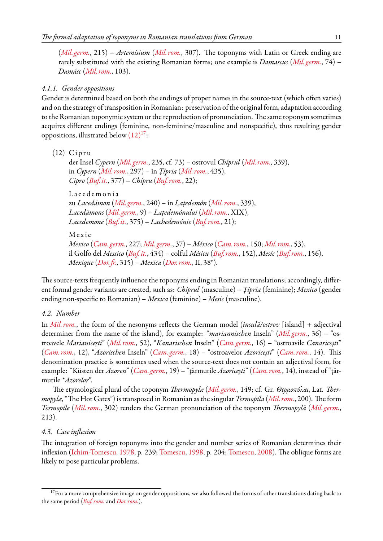(*[Mil. germ.](#page-12-3)*, 215) – *Artemísium* (*[Mil. rom.](#page-12-2)*, 307). The toponyms with Latin or Greek ending are rarely substituted with the existing Romanian forms; one example is *Damascus* (*[Mil. germ.](#page-12-3)*, 74) – *Damásc* (*[Mil. rom.](#page-12-2)*, 103).

### *4.1.1. Gender oppositions*

Gender is determined based on both the endings of proper names in the source-text (which often varies) and on the strategy of transposition in Romanian: preservation of the original form, adaptation according to the Romanian toponymic system or the reproduction of pronunciation. The same toponym sometimes acquires different endings (feminine, non-feminine/masculine and nonspecific), thus resulting gender oppositions, illustrated below  $(12)^{17}$  $(12)^{17}$  $(12)^{17}$  $(12)^{17}$ :

```
(12) Cipru
```
der Insel *Cypern* (*[Mil. germ.](#page-12-3)*, 235, cf. 73) – ostrovul *Chíprul* (*[Mil. rom.](#page-12-2)*, 339), in *Cypern* (*[Mil. rom.](#page-12-2)*, 297) – în *Țípria* (*[Mil. rom.](#page-12-2)*, 435), *Cipro* (*[Buf.it.](#page-12-6)*, 377) – *Chípru* (*[Buf. rom.](#page-12-7)*, 22);

Lace de monia zu *Lacedämon* (*[Mil. germ.](#page-12-3)*, 240) – în *Lațedemón* (*[Mil. rom.](#page-12-2)*, 339), *Lacedämons* (*[Mil. germ.](#page-12-3)*, 9) – *Lațedemónului* (*[Mil. rom.](#page-12-2)*, XIX), *Lacedemone* (*[Buf.it.](#page-12-6)*, 375) – *Lachedemónie* (*[Buf. rom.](#page-12-7)*, 21);

M e x i c

*Mexico* (*[Cam. germ.](#page-12-1)*, 227; *[Mil. germ.](#page-12-3)*, 37) – *México* (*[Cam. rom.](#page-12-0)*, 150; *[Mil. rom.](#page-12-2)*, 53), il Golfo del *Messico* (*[Buf.it.](#page-12-6)*, 434) – colful *Mésicu* (*[Buf. rom.](#page-12-7)*, 152), *Mesíc* (*[Buf. rom.](#page-12-7)*, 156), *Mexique* (*[Dor.fr.](#page-12-8)*, 315) – *Mexica* (*[Dor. rom.](#page-12-9)*, II, 38<sup>v</sup> ).

The source-texts frequently influence the toponyms ending in Romanian translations; accordingly, different formal gender variants are created, such as: *Chíprul* (masculine) – *Țípria* (feminine); *Mexico* (gender ending non-specific to Romanian) – *Mexica* (feminine) – *Mesic* (masculine).

#### *4.2. Number*

In *[Mil. rom.](#page-12-2)*, the form of the nesonyms reflects the German model (*insulă/ostrov* [island] + adjectival determiner from the name of the island), for example: "*mariannischen* Inseln" (*[Mil. germ.](#page-12-3)*, 36) – "ostroavele *Marianicești*" (*[Mil. rom.](#page-12-2)*, 52), "*Kanarischen* Inseln" (*[Cam. germ.](#page-12-1)*, 16) – "ostroavile *Canaricești*" (*[Cam. rom.](#page-12-0)*, 12), "*Azorischen* Inseln" (*[Cam. germ.](#page-12-1)*, 18) – "ostroavelor *Azoricești*" (*[Cam. rom.](#page-12-0)*, 14). This denomination practice is sometimes used when the source-text does not contain an adjectival form, for example: "Küsten der *Azoren*" (*[Cam. germ.](#page-12-1)*, 19) – "țărmurile *Azoricești*" (*[Cam. rom.](#page-12-0)*, 14), instead of "țărmurile *\*Azorelor*".

The etymological plural of the toponym *Thermopylæ* (*[Mil. germ.](#page-12-3)*, 149; cf. Gr. *Θερμοπύλαι*, Lat. *Thermopylæ*, "The Hot Gates") is transposed in Romanian as the singular*Termopíla* (*[Mil. rom.](#page-12-2)*, 200). The form *Termopíle* (*[Mil. rom.](#page-12-2)*, 302) renders the German pronunciation of the toponym *Thermopylä* (*[Mil. germ.](#page-12-3)*, 213).

### *4.3. Case inflexion*

The integration of foreign toponyms into the gender and number series of Romanian determines their inflexion([Ichim-Tomescu,](#page-13-24) [1978,](#page-13-24) p. 239; [Tomescu](#page-14-5), [1998](#page-14-5), p. 204; [Tomescu](#page-14-6), [2008](#page-14-6)). The oblique forms are likely to pose particular problems.

<span id="page-10-1"></span><sup>&</sup>lt;sup>17</sup>For a more comprehensive image on gender oppositions, we also followed the forms of other translations dating back to the same period (*[Buf. rom.](#page-12-7)* and *[Dor. rom.](#page-12-9)*).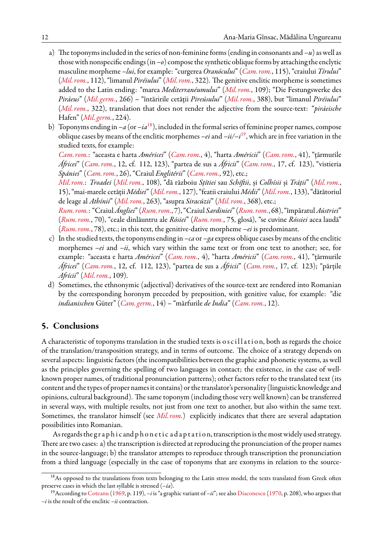- a) The toponyms included in the series of non-feminine forms (ending in consonants and *–u*) as well as those with nonspecific endings (in*–o*) compose the synthetic oblique forms by attaching the enclytic masculine morpheme *–lui*, for example: "curgerea *Oranócului*" (*[Cam. rom.](#page-12-0)*, 115), "craiului *Tírului*" (*[Mil. rom.](#page-12-2)*, 112), "limanul *Piréiului*" (*[Mil. rom.](#page-12-2)*, 322). The genitive enclitic morpheme is sometimes added to the Latin ending: "marea *Mediterranéumului*" (*[Mil. rom.](#page-12-2)*, 109); "Die Festungswerke des *Piräeus*" (*[Mil. germ.](#page-12-3)*, 266) – "întăririle cetății *Pireúsului*" (*[Mil. rom.](#page-12-2)*, 388), but "limanul *Piréiului*" (*[Mil. rom.](#page-12-2)*, 322), translation that does not render the adjective from the source-text: "*piräeische* Hafen" (*[Mil. germ.](#page-12-3)*, 224).
- b) Toponyms ending in  $-a$  (or  $-i a^{18}$  $-i a^{18}$  $-i a^{18}$ ), included in the formal series of feminine proper names, compose oblique cases by means of the enclitic morphemes *–ei*and *–ii/–i*[19](#page-11-1), which are in free variation in the studied texts, for example:

*[Cam. rom.](#page-12-0)*: "aceasta e harta *Américei*" (*[Cam. rom.](#page-12-0)*, 4), "harta *Américii*" (*[Cam. rom.](#page-12-0)*, 41), "țărmurile *Áfricei*" (*[Cam. rom.](#page-12-0)*, 12, cf. 112, 123), "partea de sus a *Áfricii*" (*[Cam. rom.](#page-12-0)*, 17, cf. 123), "vistieria *Spániei*" (*[Cam. rom.](#page-12-0)*, 26), "Craiul *Englitérii*" (*[Cam. rom.](#page-12-0)*, 92), etc.;

*[Mil. rom.](#page-12-2)*: *Troadei* (*[Mil. rom.](#page-12-2)*, 108), "dă războiu *Sțítiei* sau *Schíftii*, și *Colhísii* și *Tráții*" (*[Mil. rom.](#page-12-2)*, 15), "mai-marele cetății *Médiei*" (*[Mil. rom.](#page-12-2)*, 127), "featii craiului *Médii*" (*[Mil. rom.](#page-12-2)*, 133), "dătătoriul de leage al *Athínii*" (*[Mil. rom.](#page-12-2)*, 263), "asupra *Siracúzii*" (*[Mil. rom.](#page-12-2)*, 368), etc.;

*[Rum. rom.](#page-13-4)*: "Craiul*Ángliei*" (*[Rum. rom.](#page-13-4)*, 7), "Craiul *Sardiniei*" (*[Rum. rom.](#page-13-4)*, 68), "împăratul*Aústriei*" (*[Rum. rom.](#page-13-4)*, 70), "ceale dinlăuntru ale *Rósiei*" (*[Rum. rom.](#page-13-4)*, 75, glosă), "se cuvine *Róssiei* acea laudă" (*[Rum. rom.](#page-13-4)*, 78), etc.; in this text, the genitive-dative morpheme *–ei* is predominant.

- c) In the studied texts, the toponyms ending in *–ca* or *–ga* express oblique cases by means of the enclitic morphemes *–ei* and *–ii*, which vary within the same text or from one text to another; see, for example: "aceasta e harta *Américei*" (*[Cam. rom.](#page-12-0)*, 4), "harta *Américii*" (*[Cam. rom.](#page-12-0)*, 41), "țărmurile *Áfricei*" (*[Cam. rom.](#page-12-0)*, 12, cf. 112, 123), "partea de sus a *Áfricii*" (*[Cam. rom.](#page-12-0)*, 17, cf. 123); "părțile *Afrícii*" (*[Mil. rom.](#page-12-2)*, 109).
- d) Sometimes, the ethnonymic (adjectival) derivatives of the source-text are rendered into Romanian by the corresponding horonym preceded by preposition, with genitive value, for example: "die *indianischen* Güter" (*[Cam. germ.](#page-12-1)*, 14) – "mărfurile *de India*" (*[Cam. rom.](#page-12-0)*, 12).

### **5. Conclusions**

A characteristic of toponyms translation in the studied texts is oscillation, both as regards the choice of the translation/transposition strategy, and in terms of outcome. The choice of a strategy depends on several aspects: linguistic factors (the incompatibilities between the graphic and phonetic systems, as well as the principles governing the spelling of two languages in contact; the existence, in the case of wellknown proper names, of traditional pronunciation patterns); other factors refer to the translated text (its content and the types of proper names it contains) or the translator's personality (linguistic knowledge and opinions, cultural background). The same toponym (including those very well known) can be transferred in several ways, with multiple results, not just from one text to another, but also within the same text. Sometimes, the translator himself (see *[Mil. rom.](#page-12-2)*) explicitly indicates that there are several adaptation possibilities into Romanian.

As regards the g r a p h i c and p h o n e t i c a d a p t a t i o n, transcription is the most widely used strategy. There are two cases: a) the transcription is directed at reproducing the pronunciation of the proper names in the source-language; b) the translator attempts to reproduce through transcription the pronunciation from a third language (especially in the case of toponyms that are exonyms in relation to the source-

<span id="page-11-0"></span><sup>&</sup>lt;sup>18</sup>As opposed to the translations from texts belonging to the Latin stress model, the texts translated from Greek often preserve cases in which the last syllable is stressed (*–ía*).

<span id="page-11-1"></span><sup>19</sup>According to [Coteanu](#page-13-25) [\(1969,](#page-13-25) p. 119), *–i* is "a graphic variant of *–ii*"; see also [Diaconescu](#page-13-26) [\(1970,](#page-13-26) p. 208), who argues that *–i* is the result of the enclitic *–ii* contraction.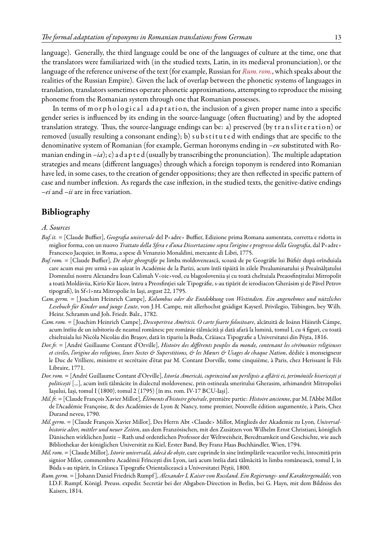language). Generally, the third language could be one of the languages of culture at the time, one that the translators were familiarized with (in the studied texts, Latin, in its medieval pronunciation), or the language of the reference universe of the text (for example, Russian for *[Rum. rom.](#page-13-4)*, which speaks about the realities of the Russian Empire). Given the lack of overlap between the phonetic systems of languages in translation, translators sometimes operate phonetic approximations, attempting to reproduce the missing phoneme from the Romanian system through one that Romanian possesses.

In terms of m or phological adaptation, the inclusion of a given proper name into a specific gender series is influenced by its ending in the source-language (often fluctuating) and by the adopted translation strategy. Thus, the source-language endings can be: a) preserved (by transliteration) or removed (usually resulting a consonant ending); b) substituted with endings that are specific to the denominative system of Romanian (for example, German horonyms ending in *–en* substituted with Romanian ending in  $-ia$ ); c) a d a p t e d (usually by transcribing the pronunciation). The multiple adaptation strategies and means (different languages) through which a foreign toponym is rendered into Romanian have led, in some cases, to the creation of gender oppositions; they are then reflected in specific pattern of case and number inflexion. As regards the case inflexion, in the studied texts, the genitive-dative endings *–ei* and *–ii* are in free variation.

# **Bibliography**

#### *A. Sources*

- <span id="page-12-6"></span>*Buf.it.* = [Claude Buffier], *Geografia universale* del P‹adre› Buffier, Edizione prima Romana aumentata, corretta e ridotta in miglior forma, con un nuovo *Trattato della Sfera e d'una Dissertazione sopra l'origine e progresso della Geografia*, dal P‹adre› Francesco Jacquier, in Roma, a spese di Venanzio Monaldini, mercante di Libri, 1775.
- <span id="page-12-7"></span>*Buf. rom.* = [Claude Buffier], *De obște gheográfie* pe limba moldovenească, scoasă de pe Geográfie lui Búfiér după orînduiala care acum mai pre urmă s-au așăzat în Académie de la Parízi, acum întîi tipăită în zilele Prealuminatului și Preaînălțatului Domnului nostru Alexandru Ioan Calimah V‹oie›vod, cu blagosloveniia și cu toată cheltuiala Preaosfințitului Mitropolit a toată Moldáviia, Kirío Kir Iácov, întru a Preosfinției sale Tipográfie, s-au tipărit de ierodiacon Gherásim și de Pável Petrov tipografi), în Sf‹î›nta Mitropolie în Iași, avgust 22, 1795.
- <span id="page-12-1"></span>*Cam. germ.* = [ Joachim Heinrich Campe], *Kolumbus oder die Entdekkung von Westindien. Ein angenehmes und nützliches Lesebuch für Kinder und junge Leute*, von J.H. Campe, mit allerhochst gnädigst Kayserl. Privilegio, Tübingen, bey Wilh. Heinr. Schramm und Joh. Friedr. Balz., 1782.
- <span id="page-12-0"></span>*Cam. rom.* = [ Joachim Heinrich Campe], *Descoperirea Américii. O carte foarte folositoare*, alcătuită de Ioánn Háinrih Cámpe, acum întîiu de un iubitoriu de neamul românesc pre românie tălmăcită și dată afară la lumină, tomul I, cu 4 figuri, cu toată chieltuiala lui Nicóla Nicoláu din Brașov, dată în tipariu la Buda, Crăiasca Tipografie a Universitatei din Péșta, 1816.
- <span id="page-12-8"></span>*Dor.fr.* = [André Guillaume Contant d'Orville], *Histoire des différents peuples du monde, contenant les cérémonies religieuses et civiles, l'origine des religions, leurs Sectes & Superstitions, & les Mœurs & Usages de chaque Nation*, dédiée à monseigneur le Duc de Vrilliere, ministre et secrétaire d'état par M. Contant Dorville, tome cinquième, à Paris, chez Herissant le Fils Libraire, 1771.
- <span id="page-12-9"></span>*Dor. rom.* = [André Guillaume Contant d'Orville], *Istoría Americăi, cuprinzind un perilipsis a aflării ei, țerimóniile bisericești și politicești* [...], acum întîi tălmăcite în dialectul moldovenesc, prin ostineala smeritului Gherasim, arhimandrit Mitropoliei Iașului, Iași, tomul I (1800), tomul 2 (1795) [în ms. rom. IV-17 BCU-Iași].
- <span id="page-12-5"></span>*Mil.fr.* = [Claude François Xavier Millot], *Éléments d'histoire générale*, première partie: *Histoire ancienne*, par M. l'Abbé Millot de l'Académie Françoise, & des Académies de Lyon & Nancy, tome premier, Nouvelle édition augumentée, à Paris, Chez Durand neveu, 1790.
- <span id="page-12-3"></span>*Mil. germ.* = [Claude François Xavier Millot], Des Herrn Abt ‹Claude› Millot, Mitglieds der Akademie zu Lyon, *Universalhistorie alter, mittler und neuer Zeiten*, aus dem Französischen, mit den Zusätzen von Wilhelm Ernst Christiani, königlich Dänischen wirklichen Justiz – Rath und ordentlichen Professor der Weltweisheit, Beredtsamkeit und Geschichte, wie auch Bibliothekar der königlichen Universität zu Kiel, Erster Band, Bey Franz Haas Buchhändler, Wien, 1794.
- <span id="page-12-2"></span>*Mil. rom.* = [Claude Millot], *Istorie universală, ádecă de obște*, care cuprinde în sine întîmplările veacurilor vechi, întocmită prin signior Mílot, commembru Académii Frîncești din Lyon, iară acum întîia dată tălmăcită în limba românească, tomul I, în Búda s-au tipărit, în Crăiasca Tipografie Orientalicească a Universitatei Péștii, 1800.
- <span id="page-12-4"></span>*Rum. germ.* = [ Johann Daniel Friedrich Rumpf ], *Alexander I, Kaiser von Russland. Ein Regierungs- und Karaktergemälde*, von I.D.F. Rumpf, Königl. Preuss. expedir. Secretär bei der Abgaben-Direction in Berlin, bei G. Hayn, mit dem Bildniss des Kaisers, 1814.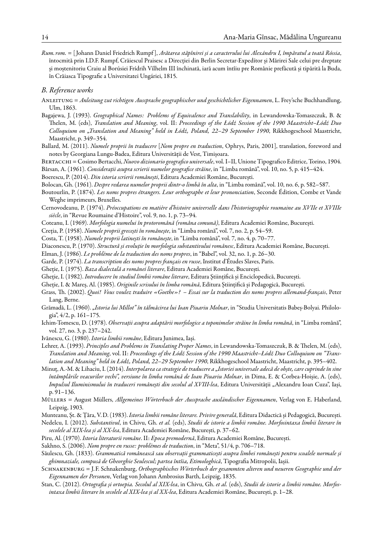<span id="page-13-4"></span>*Rum. rom.* = [ Johann Daniel Friedrich Rumpf ], *Arătarea stăpînirei și a caracterului lui Alexándru I, împăratul a toată Róssia*, întocmită prin I.D.F. Rumpf, Crăiescul Praisesc a Direcției din Berlin Secretar-Expedítor și Mărirei Sale celui pre dreptate și moștenitoriu Craiu al Borúsiei Frídrih Vílhelm III închinată, iară acum întîiu pre Românie prefăcută și tipărită la Buda, în Crăiasca Tipografie a Universitatei Ungáriei, 1815.

#### <span id="page-13-0"></span>*B. Reference works*

- <span id="page-13-23"></span>Anleitung = *Anleitung zut richtigen Aussprache geographischer und geschichtlicher Eigennamen*, L. Frey'sche Buchhandlung, Ulm, 1863.
- <span id="page-13-21"></span>Bagajewa, J. (1993). *Geographical Names: Problems of Equivalence and Translability*, in Lewandowska-Tomaszczuk, B. & Thelen, M. (eds), *Translation and Meaning*, vol. II: *Proceedings of the Łódź Session of the 1990 Maastricht–Łódź Duo Colloquium on "Translation and Meaning" held in Łódź, Poland, 22–29 September 1990*, Rikkhogeschool Maastricht, Maastricht, p. 349–354.
- <span id="page-13-16"></span>Ballard, M. (2011). *Numele proprii în traducere* [*Nom propre en traduction*, Ophrys, Paris, 2001], translation, foreword and notes by Georgiana Lungu-Badea, Editura Universității de Vest, Timișoara.

Bertacchi = Cosimo Bertacchi, *Nuovo dizionario geografico universale*, vol. I–II, Unione Tipografico Editrice, Torino, 1904.

<span id="page-13-8"></span>Bârsan, A. (1961). *Considerații asupra scrierii numelor geografice străine*, in "Limba română", vol. 10, no. 5, p. 415–424.

<span id="page-13-13"></span>Boerescu, P. (2014). *Din istoria scrierii românești*, Editura Academiei Române, București.

<span id="page-13-9"></span>Bolocan, Gh. (1961). *Despre redarea numelor proprii dintr-o limbă în alta*, in "Limba română", vol. 10, no. 6, p. 582–587.

- Boutourlin, P. (1874). *Les noms propres étrangers. Leur orthographe et leur prononciation*, Seconde Édition, Combe et Vande Weghe imprimeurs, Bruxelles.
- <span id="page-13-7"></span>Cernovodeanu, P. (1974). *Préoccupations en matière d'histoire universelle dans l'historiographie roumaine au XVIIe et XVIIIe siècle*, in "Revue Roumaine d'Histoire", vol. 9, no. 1, p. 73–94.
- <span id="page-13-25"></span>Coteanu, I. (1969). *Morfologia numelui în protoromână (româna comună)*, Editura Academiei Române, București.
- <span id="page-13-11"></span><span id="page-13-10"></span>Creția, P. (1958). *Numele proprii grecești în românește*, in "Limba română", vol. 7, no. 2, p. 54–59.

Costa, T. (1958). *Numele proprii latinești în românește*, in "Limba română", vol. 7, no. 4, p. 70–77.

<span id="page-13-26"></span><span id="page-13-18"></span>Diaconescu, P. (1970). *Structură și evoluție în morfologia substantivului românesc*, Editura Academiei Române, București.

Elman, J. (1986). *Le problème de la traduction des noms propres*, in "Babel", vol. 32, no. 1, p. 26–30.

<span id="page-13-15"></span>Garde, P. (1974). *La transcription des noms propres français en russe*, Institut d'Études Slaves, Paris.

Gheție, I. (1975). *Baza dialectală a românei literare*, Editura Academiei Române, București.

<span id="page-13-1"></span>Gheție, I. (1982). *Introducere în studiul limbii române literare*, Editura Științifică și Enciclopedică, București.

<span id="page-13-14"></span>Gheție, I. & Mareș, Al. (1985). *Originile scrisului în limba română*, Editura Științifică și Pedagogică, București.

- <span id="page-13-19"></span>Grass, Th. (2002). *Quoi! Vous voulez traduire «Goethe»? – Essai sur la traduction des noms propres allemand-français*, Peter Lang, Berne.
- <span id="page-13-5"></span>Grămadă, L. (1960). *"Istoria lui Millot" în tălmăcirea lui Ioan Piuariu Molnar*, in "Studia Universitatis Babeș-Bolyai. Philologia", 4/2, p. 161–175.
- <span id="page-13-24"></span>Ichim-Tomescu, D. (1978). *Observații asupra adaptării morfologice a toponimelor străine în limba română*, in "Limba română", vol. 27, no. 3, p. 237–242.
- Ivănescu, G. (1980). *Istoria limbii române*, Editura Junimea, Iași.
- <span id="page-13-22"></span>Lehrer, A. (1993). *Principles and Problems in Translating Proper Names*, in Lewandowska-Tomaszczuk, B. & Thelen, M. (eds), *Translation and Meaning*, vol. II: *Proceedings of the Łódź Session of the 1990 Maastricht–Łódź Duo Colloquium on "Translation and Meaning" held in Łódź, Poland, 22–29 September 1990*, Rikkhogeschool Maastricht, Maastricht, p. 395–402.
- <span id="page-13-6"></span>Minuț, A.-M. & Lihaciu, I. (2014). *Interpolarea ca strategie de traducere a "Istoriei universale adecă de obște, care cuprinde în sine întâmplările veacurilor vechi", versiune în limba română de Ioan Piuariu Molnar*, in Dima, E. & Corbea-Hoișie, A. (eds), *Impulsul Iluminismului în traduceri românești din secolul al XVIII-lea*, Editura Universității "Alexandru Ioan Cuza", Iași, p. 91–136.
- <span id="page-13-17"></span>Müllers = August Müllers, *Allgemeines Wörterbuch der Aussprache ausländischer Eigennamen*, Verlag von E. Haberland, Leipzig, 1903.
- <span id="page-13-2"></span>Munteanu, Șt. & Țâra, V.D. (1983). *Istoria limbii române literare. Privire generală*, Editura Didactică și Pedagogică, București.
- Nedelcu, I. (2012). *Substantivul*, in Chivu, Gh. *et al.* (eds), *Studii de istorie a limbii române. Morfosintaxa limbii literare în secolele al XIX-lea și al XX-lea*, Editura Academiei Române, București, p. 37–62.
- <span id="page-13-3"></span>Piru, Al. (1970). *Istoria literaturii române*. II: *Epoca premodernă*, Editura Academiei Române, București.
- <span id="page-13-20"></span>Sakhno, S. (2006). *Nom propre en russe: problèmes de traduction*, in "Meta", 51/4, p. 706–718.
- Săulescu, Gh. (1833). *Grammatică românească sau observații grammaticești asupra limbei românești pentru scoalele normale și ghimnaziale, compusă de Gheorghie Seulescul; partea întîia, Etimologhică*, Tipografia Mitropolii, Iașii.
- Schnakenburg = J.F. Schnakenburg, *Orthographisches Wörterbuch der gesammten alteren und neueren Geographie und der Eigennamen der Personen*, Verlag von Johann Ambrosius Barth, Leipzig, 1835.
- <span id="page-13-12"></span>Stan, C. (2012). *Ortografia și ortoepia. Secolul al XIX-lea*, in Chivu, Gh. *et al.* (eds), *Studii de istorie a limbii române. Morfosintaxa limbii literare în secolele al XIX-lea și al XX-lea*, Editura Academiei Române, București, p. 1–28.